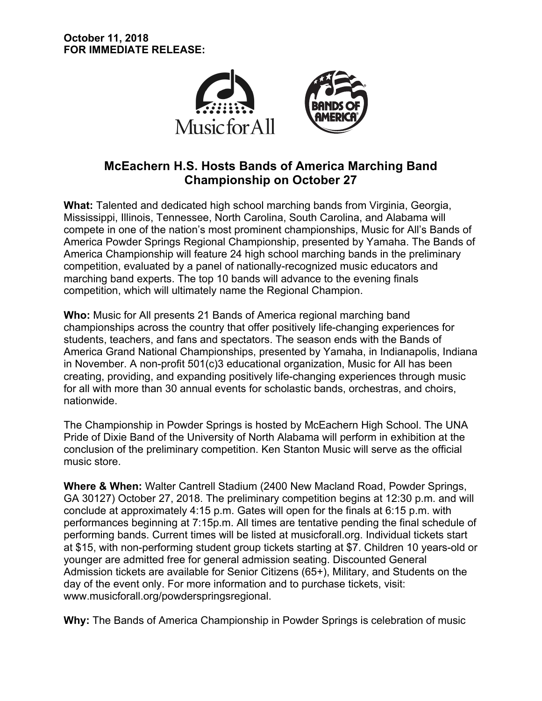

# **McEachern H.S. Hosts Bands of America Marching Band Championship on October 27**

**What:** Talented and dedicated high school marching bands from Virginia, Georgia, Mississippi, Illinois, Tennessee, North Carolina, South Carolina, and Alabama will compete in one of the nation's most prominent championships, Music for All's Bands of America Powder Springs Regional Championship, presented by Yamaha. The Bands of America Championship will feature 24 high school marching bands in the preliminary competition, evaluated by a panel of nationally-recognized music educators and marching band experts. The top 10 bands will advance to the evening finals competition, which will ultimately name the Regional Champion.

**Who:** Music for All presents 21 Bands of America regional marching band championships across the country that offer positively life-changing experiences for students, teachers, and fans and spectators. The season ends with the Bands of America Grand National Championships, presented by Yamaha, in Indianapolis, Indiana in November. A non-profit 501(c)3 educational organization, Music for All has been creating, providing, and expanding positively life-changing experiences through music for all with more than 30 annual events for scholastic bands, orchestras, and choirs, nationwide.

The Championship in Powder Springs is hosted by McEachern High School. The UNA Pride of Dixie Band of the University of North Alabama will perform in exhibition at the conclusion of the preliminary competition. Ken Stanton Music will serve as the official music store.

**Where & When:** Walter Cantrell Stadium (2400 New Macland Road, Powder Springs, GA 30127) October 27, 2018. The preliminary competition begins at 12:30 p.m. and will conclude at approximately 4:15 p.m. Gates will open for the finals at 6:15 p.m. with performances beginning at 7:15p.m. All times are tentative pending the final schedule of performing bands. Current times will be listed at musicforall.org. Individual tickets start at \$15, with non-performing student group tickets starting at \$7. Children 10 years-old or younger are admitted free for general admission seating. Discounted General Admission tickets are available for Senior Citizens (65+), Military, and Students on the day of the event only. For more information and to purchase tickets, visit: www.musicforall.org/powderspringsregional.

**Why:** The Bands of America Championship in Powder Springs is celebration of music